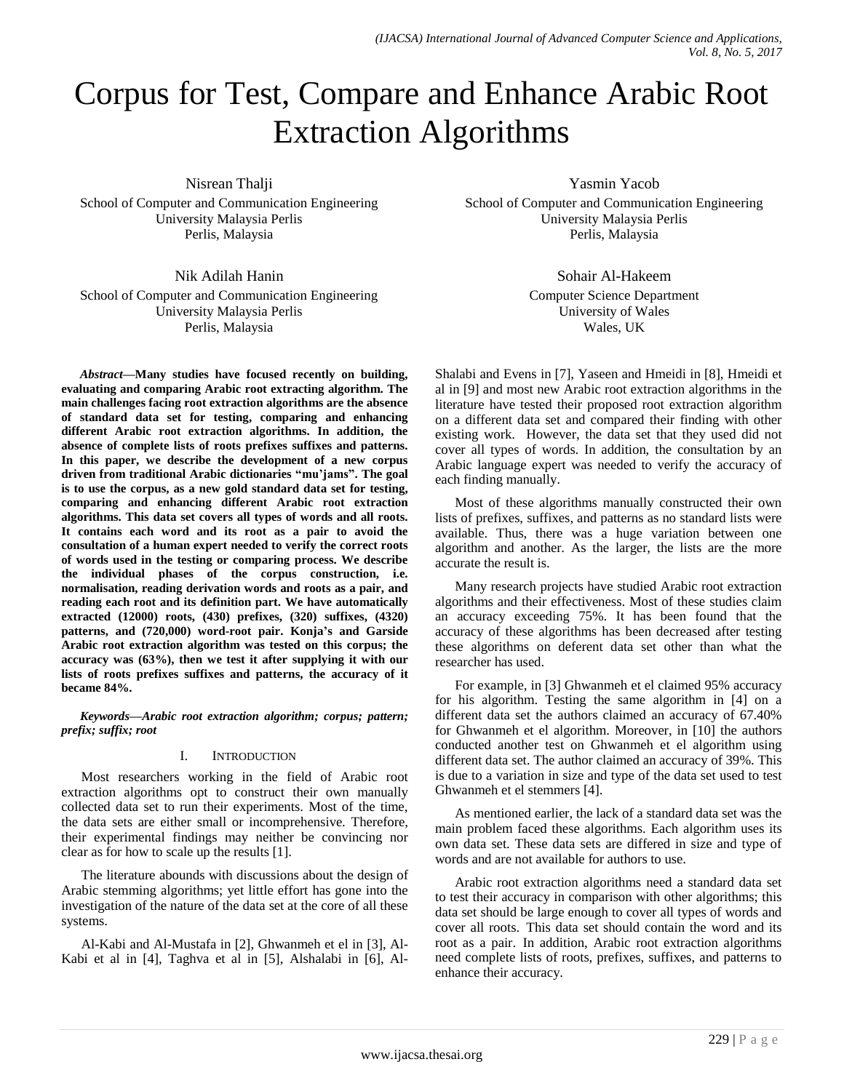# Corpus for Test, Compare and Enhance Arabic Root Extraction Algorithms

Nisrean Thalji

School of Computer and Communication Engineering University Malaysia Perlis Perlis, Malaysia

Nik Adilah Hanin School of Computer and Communication Engineering University Malaysia Perlis Perlis, Malaysia

*Abstract—***Many studies have focused recently on building, evaluating and comparing Arabic root extracting algorithm. The main challenges facing root extraction algorithms are the absence of standard data set for testing, comparing and enhancing different Arabic root extraction algorithms. In addition, the absence of complete lists of roots prefixes suffixes and patterns. In this paper, we describe the development of a new corpus driven from traditional Arabic dictionaries "mu'jams". The goal is to use the corpus, as a new gold standard data set for testing, comparing and enhancing different Arabic root extraction algorithms. This data set covers all types of words and all roots. It contains each word and its root as a pair to avoid the consultation of a human expert needed to verify the correct roots of words used in the testing or comparing process. We describe the individual phases of the corpus construction, i.e. normalisation, reading derivation words and roots as a pair, and reading each root and its definition part. We have automatically extracted (12000) roots, (430) prefixes, (320) suffixes, (4320) patterns, and (720,000) word-root pair. Konja's and Garside Arabic root extraction algorithm was tested on this corpus; the accuracy was (63%), then we test it after supplying it with our lists of roots prefixes suffixes and patterns, the accuracy of it became 84%.**

*Keywords—Arabic root extraction algorithm; corpus; pattern; prefix; suffix; root*

# I. INTRODUCTION

Most researchers working in the field of Arabic root extraction algorithms opt to construct their own manually collected data set to run their experiments. Most of the time, the data sets are either small or incomprehensive. Therefore, their experimental findings may neither be convincing nor clear as for how to scale up the results [1].

The literature abounds with discussions about the design of Arabic stemming algorithms; yet little effort has gone into the investigation of the nature of the data set at the core of all these systems.

Al-Kabi and Al-Mustafa in [2], Ghwanmeh et el in [3], Al-Kabi et al in [4], Taghva et al in [5], Alshalabi in [6], Al-

Yasmin Yacob School of Computer and Communication Engineering University Malaysia Perlis Perlis, Malaysia

> Sohair Al-Hakeem Computer Science Department University of Wales Wales, UK

Shalabi and Evens in [7], Yaseen and Hmeidi in [8], Hmeidi et al in [9] and most new Arabic root extraction algorithms in the literature have tested their proposed root extraction algorithm on a different data set and compared their finding with other existing work. However, the data set that they used did not cover all types of words. In addition, the consultation by an Arabic language expert was needed to verify the accuracy of each finding manually.

Most of these algorithms manually constructed their own lists of prefixes, suffixes, and patterns as no standard lists were available. Thus, there was a huge variation between one algorithm and another. As the larger, the lists are the more accurate the result is.

Many research projects have studied Arabic root extraction algorithms and their effectiveness. Most of these studies claim an accuracy exceeding 75%. It has been found that the accuracy of these algorithms has been decreased after testing these algorithms on deferent data set other than what the researcher has used.

For example, in [3] Ghwanmeh et el claimed 95% accuracy for his algorithm. Testing the same algorithm in [4] on a different data set the authors claimed an accuracy of 67.40% for Ghwanmeh et el algorithm. Moreover, in [10] the authors conducted another test on Ghwanmeh et el algorithm using different data set. The author claimed an accuracy of 39%. This is due to a variation in size and type of the data set used to test Ghwanmeh et el stemmers [4].

As mentioned earlier, the lack of a standard data set was the main problem faced these algorithms. Each algorithm uses its own data set. These data sets are differed in size and type of words and are not available for authors to use.

Arabic root extraction algorithms need a standard data set to test their accuracy in comparison with other algorithms; this data set should be large enough to cover all types of words and cover all roots. This data set should contain the word and its root as a pair. In addition, Arabic root extraction algorithms need complete lists of roots, prefixes, suffixes, and patterns to enhance their accuracy.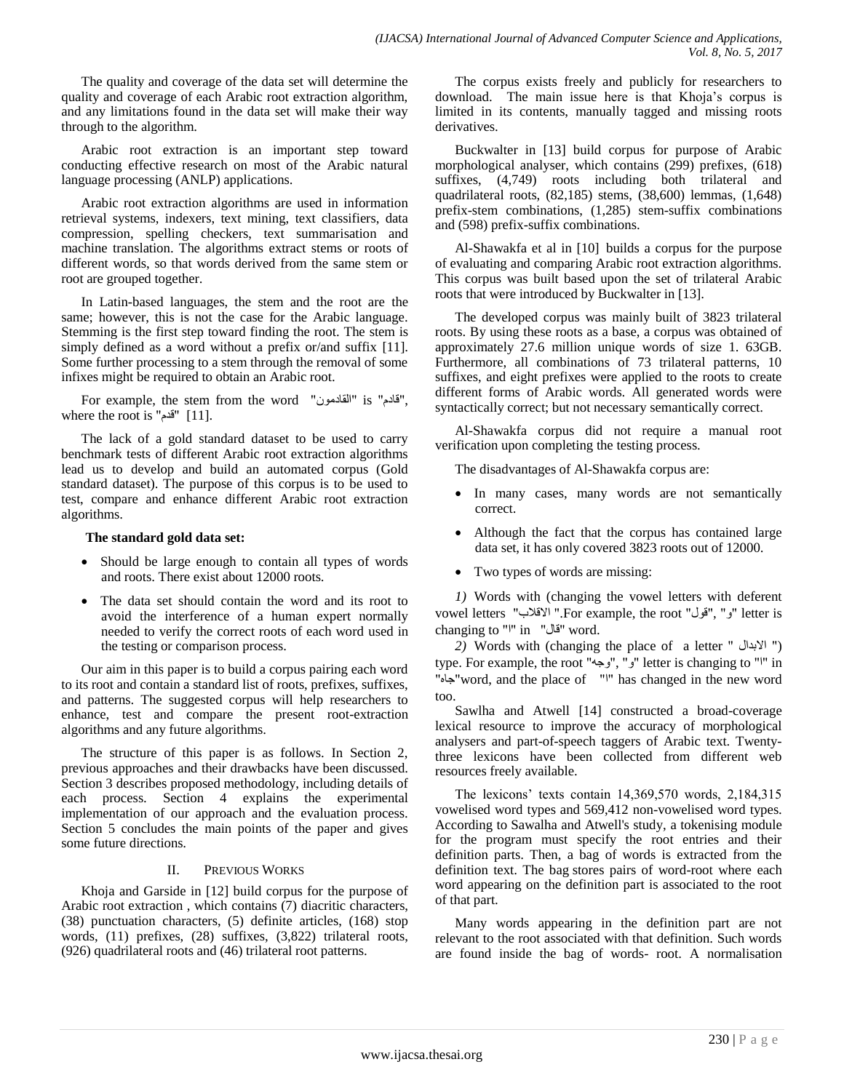The quality and coverage of the data set will determine the quality and coverage of each Arabic root extraction algorithm, and any limitations found in the data set will make their way through to the algorithm.

Arabic root extraction is an important step toward conducting effective research on most of the Arabic natural language processing (ANLP) applications.

Arabic root extraction algorithms are used in information retrieval systems, indexers, text mining, text classifiers, data compression, spelling checkers, text summarisation and machine translation. The algorithms extract stems or roots of different words, so that words derived from the same stem or root are grouped together.

In Latin-based languages, the stem and the root are the same; however, this is not the case for the Arabic language. Stemming is the first step toward finding the root. The stem is simply defined as a word without a prefix or/and suffix [11]. Some further processing to a stem through the removal of some infixes might be required to obtain an Arabic root.

For example, the stem from the word "القادمون" is "بقادم", where the root is "قدم" [11].

The lack of a gold standard dataset to be used to carry benchmark tests of different Arabic root extraction algorithms lead us to develop and build an automated corpus (Gold standard dataset). The purpose of this corpus is to be used to test, compare and enhance different Arabic root extraction algorithms.

## **The standard gold data set:**

- Should be large enough to contain all types of words and roots. There exist about 12000 roots.
- The data set should contain the word and its root to avoid the interference of a human expert normally needed to verify the correct roots of each word used in the testing or comparison process.

Our aim in this paper is to build a corpus pairing each word to its root and contain a standard list of roots, prefixes, suffixes, and patterns. The suggested corpus will help researchers to enhance, test and compare the present root-extraction algorithms and any future algorithms.

The structure of this paper is as follows. In Section 2, previous approaches and their drawbacks have been discussed. Section 3 describes proposed methodology, including details of each process. Section 4 explains the experimental implementation of our approach and the evaluation process. Section 5 concludes the main points of the paper and gives some future directions.

# II. PREVIOUS WORKS

Khoja and Garside in [12] build corpus for the purpose of Arabic root extraction , which contains (7) diacritic characters, (38) punctuation characters, (5) definite articles, (168) stop words, (11) prefixes, (28) suffixes, (3,822) trilateral roots, (926) quadrilateral roots and (46) trilateral root patterns.

The corpus exists freely and publicly for researchers to download. The main issue here is that Khoja's corpus is limited in its contents, manually tagged and missing roots derivatives.

Buckwalter in [13] build corpus for purpose of Arabic morphological analyser, which contains (299) prefixes, (618) suffixes, (4,749) roots including both trilateral and quadrilateral roots, (82,185) stems, (38,600) lemmas, (1,648) prefix-stem combinations, (1,285) stem-suffix combinations and (598) prefix-suffix combinations.

Al-Shawakfa et al in [10] builds a corpus for the purpose of evaluating and comparing Arabic root extraction algorithms. This corpus was built based upon the set of trilateral Arabic roots that were introduced by Buckwalter in [13].

The developed corpus was mainly built of 3823 trilateral roots. By using these roots as a base, a corpus was obtained of approximately 27.6 million unique words of size 1. 63GB. Furthermore, all combinations of 73 trilateral patterns, 10 suffixes, and eight prefixes were applied to the roots to create different forms of Arabic words. All generated words were syntactically correct; but not necessary semantically correct.

Al-Shawakfa corpus did not require a manual root verification upon completing the testing process.

The disadvantages of Al-Shawakfa corpus are:

- In many cases, many words are not semantically correct.
- Although the fact that the corpus has contained large data set, it has only covered 3823 roots out of 12000.
- Two types of words are missing:

*1)* Words with (changing the vowel letters with deferent vowel letters "الاقلاب" .For example, the root "ي'" ,"" الاقلاب" changing to "|" in "لقال" word.

*2)* Words with (changing the place of a letter " االثعاي (" type. For example, the root "وجه", "وجه") letter is changing to "'" in "ٖخب"word, and the place of "ا "has changed in the new word too.

Sawlha and Atwell [14] constructed a broad-coverage lexical resource to improve the accuracy of morphological analysers and part-of-speech taggers of Arabic text. Twentythree lexicons have been collected from different web resources freely available.

The lexicons" texts contain 14,369,570 words, 2,184,315 vowelised word types and 569,412 non-vowelised word types. According to Sawalha and Atwell's study, a tokenising module for the program must specify the root entries and their definition parts. Then, a bag of words is extracted from the definition text. The bag stores pairs of word-root where each word appearing on the definition part is associated to the root of that part.

Many words appearing in the definition part are not relevant to the root associated with that definition. Such words are found inside the bag of words- root. A normalisation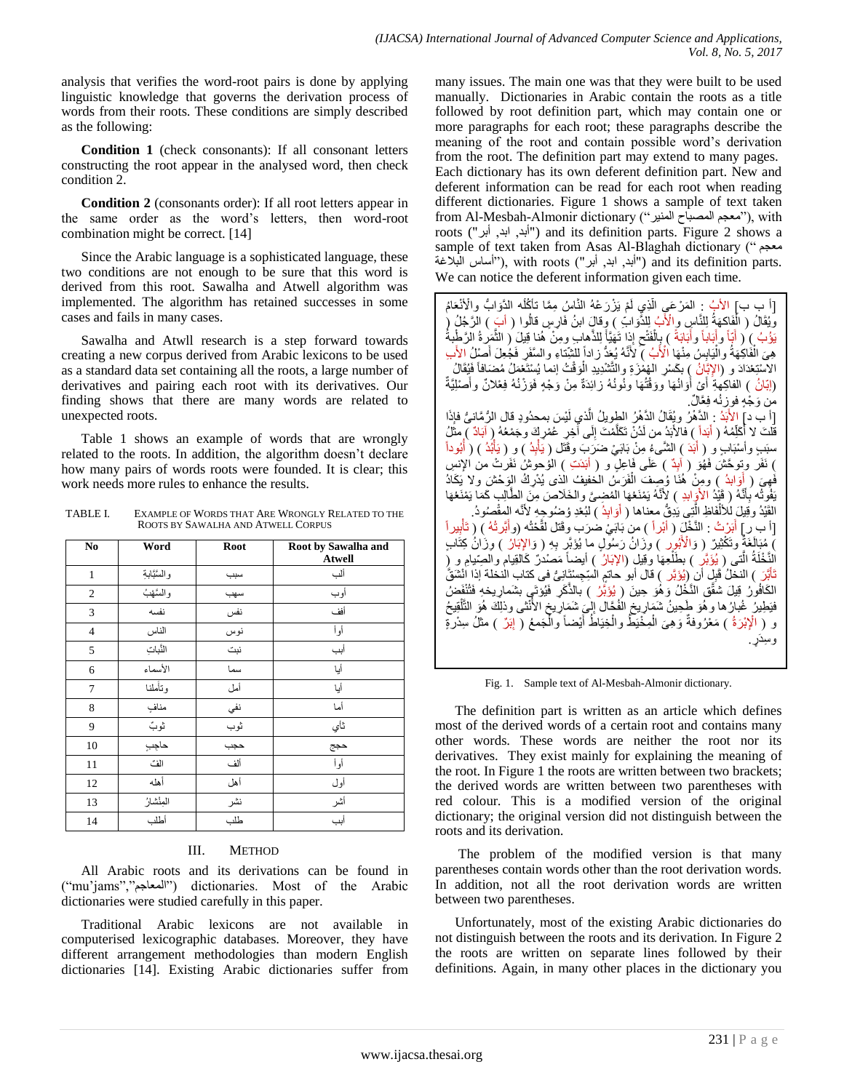analysis that verifies the word-root pairs is done by applying linguistic knowledge that governs the derivation process of words from their roots. These conditions are simply described as the following:

**Condition 1** (check consonants): If all consonant letters constructing the root appear in the analysed word, then check condition 2.

**Condition 2** (consonants order): If all root letters appear in the same order as the word"s letters, then word-root combination might be correct. [14]

Since the Arabic language is a sophisticated language, these two conditions are not enough to be sure that this word is derived from this root. Sawalha and Atwell algorithm was implemented. The algorithm has retained successes in some cases and fails in many cases.

Sawalha and Atwll research is a step forward towards creating a new corpus derived from Arabic lexicons to be used as a standard data set containing all the roots, a large number of derivatives and pairing each root with its derivatives. Our finding shows that there are many words are related to unexpected roots.

Table 1 shows an example of words that are wrongly related to the roots. In addition, the algorithm doesn"t declare how many pairs of words roots were founded. It is clear; this work needs more rules to enhance the results.

TABLE I. EXAMPLE OF WORDS THAT ARE WRONGLY RELATED TO THE ROOTS BY SAWALHA AND ATWELL CORPUS

| No             | Word          | <b>Root</b> | Root by Sawalha and<br><b>Atwell</b> |
|----------------|---------------|-------------|--------------------------------------|
| $\mathbf{1}$   | والسَّبَّابةِ | سبب         | ألب                                  |
| $\sqrt{2}$     | والسَّهْبُ    | سهب         | أوب                                  |
| 3              | نفسه          | نفس         | أفف                                  |
| $\overline{4}$ | الناس         | نوس         | أوأ                                  |
| 5              | النّبابَ      | نبت         | أبب                                  |
| 6              | الأسماء       | سما         | أيا                                  |
| $\overline{7}$ | وتأملنا       | أمل         | أيا                                  |
| 8              | منافٍ         | نفي         | أما                                  |
| 9              | ثوبً          | ثوب         | ثأي                                  |
| 10             | حاجب          | حجب         | حجج                                  |
| 11             | الف           | ألف         | أوأ                                  |
| 12             | أهله          | أهل         | أول                                  |
| 13             | المِنْشارُ    | نشر         | أشر                                  |
| 14             | أطلب          | طلب         | أبب                                  |

# III. METHOD

All Arabic roots and its derivations can be found in ("mu"jams","ُعبخٌّا ("dictionaries. Most of the Arabic dictionaries were studied carefully in this paper.

Traditional Arabic lexicons are not available in computerised lexicographic databases. Moreover, they have different arrangement methodologies than modern English dictionaries [14]. Existing Arabic dictionaries suffer from many issues. The main one was that they were built to be used manually. Dictionaries in Arabic contain the roots as a title followed by root definition part, which may contain one or more paragraphs for each root; these paragraphs describe the meaning of the root and contain possible word"s derivation from the root. The definition part may extend to many pages. Each dictionary has its own deferent definition part. New and deferent information can be read for each root when reading different dictionaries. Figure 1 shows a sample of text taken from Al-Mesbah-Almonir dictionary ("معجم المصباح المنير"), with roots ("أبد, ابد, أبر") and its definition parts. Figure 2 shows a sample of text taken from Asas Al-Blaghah dictionary (" ُعدِ بابد, ابد, أبر "), with roots ("أبد, ابد, أبر") and its definition parts. We can notice the deferent information given each time.

[أ ب ب] الأبُ : ٍ المَرْعَىِ الَّذِي لَمْ يَزْرَعْهُ النَّاسُ مِمَّا تأكُلُه الدِّوَابُ والْأَنْعَامُ َّ وَيُقَالُ ( الْفَاكِهَةُ لِلنَّاسٍ وِالْأَبُ لِلدُّوَابَّ ) وِقالٍَ ابنُ فَارِسٍ قالُوا ( أَبَ ) الرَّجُلُ ( يَوْبُ ) ( أَبَاّ وأَبَاباً وأَبَابَةً ) بِالْفَتْحِ إِذِا تَهَيَّأَ لِلذَّهابِ ومِنْ هُذا قِيلَ ( النَّمَرِ ةُ الرَّطْبةُ َ َّ َ ļ ْ هِيَ الْفَاكِهَةُ والْيَابِسُ مِنْهَا الْأَبُ ﴾ لأَنَّهُ يُعَدُّ زاداً للشِّناءِ والسَّفَرِ فَجُعِلَ أَصْلُ الأَب ْ ْ َ الاسْتِعْدَادَ و (الإِتَّانُ ) بكَسْرِ الْهُمْزَةِ وِالتَّشْدِيدِ الْوَقْتُ إنما يُسْتَعْمَلُ مُضَافاً فَيُقَالُ ْ (اِبَانُ ) الفاكِهَةِ أَيْ أُوَانُهَا ووَقُتُهَا ونُونُهُ زائِدَةٌ مِنْ وَجْهٍ فَوَزْنُهُ فِعْلانٌ وأَصْلِيَّةٌ َ َ َ من وَجْهٍ فوزنُه فِعَّالٌ. [أ ب د] الأَبَدُ : الدَّهْرُ وبُقَالُ الدَّهْرُ الطويلُ الَّذي لَيْسَ بمحدُودٍ قال الرُّمَّانىُّ فإذَا ļ َّ قَلْتَ لا أَكَلِّمُهُ ( أَبَداً ) فالأَبَدُ من لَدُنْ تَكَلَّمْتَ إِلَى أَخِرِ عَمْرٍ إِنَّه وَجَمْعُهُ إِرْ آبَادٌ ﴾ مِثَلُ j ļ َّ سبَبِ وأسْبَابٍ و ( أَبَدَ ) الشَّـىءُ مِنْ بَابَـيْ ضَرَبَ وقَتَل ( يَأْبِدُ ) و ( يَأْبُدُ ) ( أَبُوداً َ ْ ْ ) نَفَر ونوحَشَ فَهُوَ ( آيِدٌ ) عَلَى فَاعِلٍ و ( أَبَدَتِ ) الوُحوشُ نَفَرتْ من الإِنسِ فَهِيَ ( أَوَابدُ ) ومِنْ هُذَا وُصِفَ الْفَرَسُ الْخَفِيفُ الّذى يُدْرِكُ الرَّحْشَ ولا يَكَادُ ْ يَفُوتُه بِأَنَّهُ ( قَيْدُ الأَوَابِدِ ) لِأَنَّهُ يَمْنَعُهَا المُضِيَّ والخَلَاصَ مِنَ الطَّالِبِ كَمَا يَمْنَعُهَا َ القَيْدُ وقِيلَ لِلْأَلْفَاظِ الَّتِي يَٰدِقُّ معناها ( أَوَابِدُ ) لنُعْدِ وُضُوحِهِ لأَنَّه المفْصُودُ. َّ ْ ţ َ [أ بِ رِ ] أَبَرْتُ : النَّخْلَ ( أَبْراً ) من ُبَابَيْ ضرَب وقَتل لقَّحْتُه (وأَبَرتُهُ ) ( تَأْبِيراً َّ َ ْ ِّ مُبَالَغَةٌ وتَكْثِيرٌ ( وَالْأَبُوِر ) وزَانُ رَسُولٍ ما يُؤَبَّرٍ بِهِ ( وَالإِبَارُ ) وِزَانُ كِثَّابٍ ْالنَّخْلَةُ الَّتـى ( يُؤَبَّرِ ) بطَلْعِهَا وَقِيلِ (الإبَارُ ) أيضاً مَصْدُرٌ كَالقِيام والصِّيامِ و (ِ َّ ْ ثَأَبَنَ ) النخلُ فَلِي أَن ِ(يُؤتَر ) قال أبو حَاتمٍ الْسِجِسْتَانِيُّ في كتاب النخلة إذا انْشَقَّ الكَافُورُ قِيلَ شُقَّقِ النَّخْلُ وَهُوَ حِينَ ( يُؤَبَّرُ ) بالذَّكَرِ فَيُؤتَى بِشَمارِ بِخهِ فَتُثْفَضُ فَيَطِيرُ ۚ غُبارُ ها و هُوَ كَحِينُ شَمَارٍ يخِ الْفُجَّالِ إِلٰٓيَ شَمَارٌ يخِ الأُنْثَى وذلِكَ هُوَ النَّلْقِيحُ ْ  $\frac{1}{s}$ į و ( الْإِبْرَةُ ) مَعْرُوفةٌ وَهِيَ الْمِخْيَطَّ والْخِيَاطُ أَيْضاً والْمَجمعُ ( إِبَرٌ ) مثلُ سِدْرةٍ ْ ا<br>ا َ ْ ْ و سِندر ۔

Fig. 1. Sample text of Al-Mesbah-Almonir dictionary.

The definition part is written as an article which defines most of the derived words of a certain root and contains many other words. These words are neither the root nor its derivatives. They exist mainly for explaining the meaning of the root. In Figure 1 the roots are written between two brackets; the derived words are written between two parentheses with red colour. This is a modified version of the original dictionary; the original version did not distinguish between the roots and its derivation.

The problem of the modified version is that many parentheses contain words other than the root derivation words. In addition, not all the root derivation words are written between two parentheses.

Unfortunately, most of the existing Arabic dictionaries do not distinguish between the roots and its derivation. In Figure 2 the roots are written on separate lines followed by their definitions. Again, in many other places in the dictionary you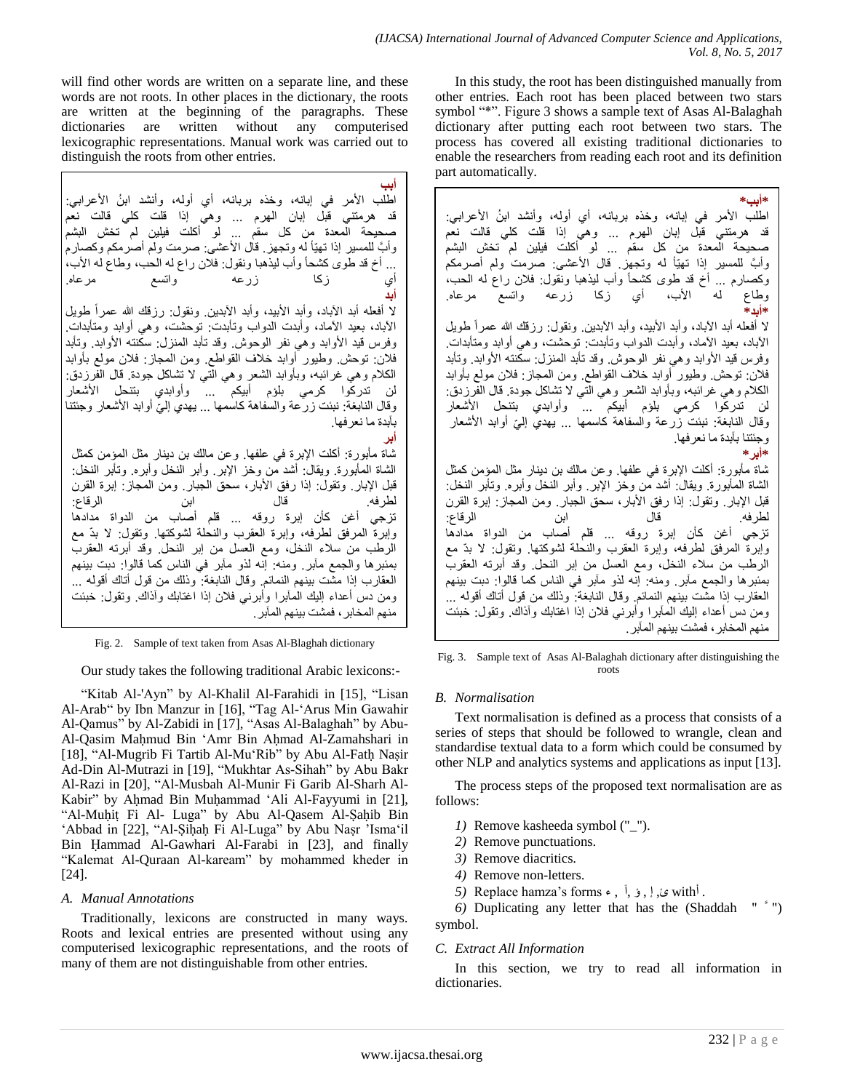will find other words are written on a separate line, and these words are not roots. In other places in the dictionary, the roots are written at the beginning of the paragraphs. These dictionaries are written without any computerised lexicographic representations. Manual work was carried out to distinguish the roots from other entries.

**أبب** اطْلب الأمر في إبانه، وخذه بربانه، أي أوله، وأنشد ابنُ الأعرابي: قد هرمتني قبل إبان الهرم ... وهي إذا قلت كلي قالت نعم يحة المعدة من كل سقم ... لو أكلت فيلين لم تخش البشم وَابَّ للمسير إذا تـهيّاً لـه وتـجهز . قال الأعشى: صرمت ولم أصرمكم وكصـارم ... أخ قد طوى كشحاً وأب ليذهبا ونقول: فلان راع له الحب، وطاع له الأب، أي زكا زرعه واتسع مرعاه. **أبد** لا أفعله أبد الأباد، وأبد الأبيد، وأبد الأبدين. ونقول: رزقك الله عمراً طويل الأباد، بعيد الأماد، وأبدت الدواب وتأبدت: توحشت، وهي أوابد ومتأبدات. وفرس قيد الأوابد وهي نفر الوحوش وقد تأبد المنزل: سكنته الأوابد. وتأبد فلان: توحش وطيور أوابد خلاف القواطع. ومن المجاز: فلان مولع بأوابد الكلام وهي غرائبه، وبأوابد الشعر وهي التي لا تشاكل جودة. قال الفرزدق: لن ندركُوا كرمى بلؤم أبيكم ... وأوابدي بتنحل الأشعار وقال النابغة: نَبئت زرعة والسفاهة كاسمها … يهدي إليّ أوابد الأشعار وجئتنا | بأبدة ما نعر فها **أبر** شاة مأبورة: أكلت الإبرة في علفها. وعن مالك بن دينار مثل المؤمن كمثل الشاة المأبورة. ويقال: أشد مّن وخز الإبر. وأبر النخل وأبره. وتأبر النخل: قَبْل الإبار ٍ وتقول: إذا رفق الأبار، سحق الجبار ٍ ومن المجاز ٍ إبرة القرن لطرفه. ابن الرقاع: تزجي أغن كأن إبرة روقه ... قلم أصاب من الدواة مدادها

وَابِرةُ المرفق لطرفه، وإبرة العقرب والنحلة لشوكتها. وتقول: لا بدّ مع الرطب من سلاء النخل، ومع العسل من إبر النحل وقد أبرته العقرب بمئبر ها والجمع مآبر. ومنه: إنه لذو مآبر في الناس كما قالوا: دبت بينهم الْعقارب إذا مشَّت ببنِهم النمائم. وقال النابغة: وذلك من قول أتاك أقوله ... وِمن دس أعداء الِيكِ المَّابِرِ! وأبرنبي فلان إذا اغتابك وآذاك. وتقول: خبئت منهم الْمخابر ، فمشت بينهم الْمآبر ِ

Fig. 2. Sample of text taken from Asas Al-Blaghah dictionary

Our study takes the following traditional Arabic lexicons:-

"Kitab Al-'Ayn" by Al-Khalil Al-Farahidi in [15], "Lisan Al-Arab" by Ibn Manzur in [16], "Tag Al-"Arus Min Gawahir Al-Qamus" by Al-Zabidi in [17], "Asas Al-Balaghah" by Abu-Al-Qasim Maḥmud Bin "Amr Bin Aḥmad Al-Zamahshari in [18], "Al-Mugrib Fi Tartib Al-Mu"Rib" by Abu Al-Fatḥ Naṣir Ad-Din Al-Mutrazi in [19], "Mukhtar As-Sihah" by Abu Bakr Al-Razi in [20], "Al-Musbah Al-Munir Fi Garib Al-Sharh Al-Kabir" by Aḥmad Bin Muḥammad "Ali Al-Fayyumi in [21], "Al-Muḥiṭ Fi Al- Luga" by Abu Al-Qasem Al-Ṣaḥib Bin "Abbad in [22], "Al-Ṣiḥaḥ Fi Al-Luga" by Abu Naṣr "Isma"il Bin Ḥammad Al-Gawhari Al-Farabi in [23], and finally "Kalemat Al-Quraan Al-kaream" by mohammed kheder in [24].

# *A. Manual Annotations*

Traditionally, lexicons are constructed in many ways. Roots and lexical entries are presented without using any computerised lexicographic representations, and the roots of many of them are not distinguishable from other entries.

In this study, the root has been distinguished manually from other entries. Each root has been placed between two stars symbol "\*". Figure 3 shows a sample text of Asas Al-Balaghah dictionary after putting each root between two stars. The process has covered all existing traditional dictionaries to enable the researchers from reading each root and its definition part automatically.

| *أبيب                                                                                        |
|----------------------------------------------------------------------------------------------|
| اطلب الأمر في إبانه، وخذه بربانه، أي أوله، وأنشد ابنُ الأعرابي:                              |
| قد هرمنني قبل إبان الـهرم  وهي إذا قلت كلي قالت نعم                                          |
| صحيحة المعدة من كل سقم  لو أكلت فيلين لم تخش البشم                                           |
| وأبَّ للمسيرِ إذا نهيًّا له ونجهزٍ. قال الأعشى: صرمت ولم أصرمكم                              |
| وكصارم … أخ قد طوى كشحأ وأب ليذهبا ونقول: فلان راع له الحب،                                  |
| وطاع له الأب، أي زكا زرعه واتسع مرعاه.                                                       |
| *أبد*                                                                                        |
| لا أفعله أبد الأباد، وأبد الأبيد، وأبد الأبدين ونقول: رزقك الله عمراً طويل                   |
| الأباد، بعيد الأماد، وأبدت الدواب وتأبدت: توحشت، وهي أوابد ومتأبدات.                         |
| وفرس قيد الأوابد وهي نفر الوحوش وقد تأبد المنزل: سكنته الأوابد. وتأبد                        |
| فلان: توحش وطيور أوابد خلاف القواطع ومن المحاز: فلان مولع بأوابد                             |
| الكلام وهي غرائبه، وبأوابد الشعر وهي التي لا تشاكل جودة. قال الفرزدق:                        |
| لن تدركوا كرمي بلؤم أبيكم  وأوابدي بتنحل الأشعار                                             |
| وقال النابغة: نَبِئت زرعة والسفاهة كاسمها … يهدي إلىّ أوابد الأشعار                          |
| وجئتنا بابدة ما نعرفها.                                                                      |
| ≉أبر ≉                                                                                       |
| شاة مأبورة: أكلت الإبرة في علفها. وعن مالك بن دينار مثل المؤمن كمثل                          |
| الشاة المأبورة. ويقال: أشد من وخز الإبر  وأبر النخل وأبره. وتأبر النخل:                      |
| قبل الإبار . وتقول: إذا رفق الأبار ، سحق الجبار . ومن المجاز : إبرة القرن                    |
|                                                                                              |
| تزجي أغن كأن إبرة روقه  قلم أصلب من الدواة مدادها                                            |
| وإبرة المرفق لطرفه، وإبرة العقرب والنحلة لشوكتها. وتقول: لا بدَّ مع                          |
| الرطب من سلاء النخل، ومع العسل من إبر النحل وقد أبرته العقرب                                 |
| بمئبر ها والجمع مآبر . ومنه: إنه لذو مآبر في الناس كما قالوا: دبت بينهم                      |
| الْعْقَارْبِ إذا مَشْتَ بَيْنَهُمُ النَّمَائِمِ. وقال النَّابِغَةُ: وذلك من قول أتاك أقوله … |
| ومن دس أعداء إليك المأبرا وأبرنـي فلان إذا اغتابك وأذاك ونقول: خبئت                          |
| منهم المخابر ، فمشت بينهم المأبر .                                                           |
|                                                                                              |

Fig. 3. Sample text of Asas Al-Balaghah dictionary after distinguishing the roots

# *B. Normalisation*

Text normalisation is defined as a process that consists of a series of steps that should be followed to wrangle, clean and standardise textual data to a form which could be consumed by other NLP and analytics systems and applications as input [13].

The process steps of the proposed text normalisation are as follows:

- *1)* Remove kasheeda symbol ("\_").
- *2)* Remove punctuations.
- *3)* Remove diacritics.
- *4)* Remove non-letters.
- 5) Replace hamza's forms  $\epsilon$ , **i**,  $\epsilon$ ,  $\epsilon$  with<sup>i</sup>.

*6)* Duplicating any letter that has the (Shaddah " َّ ") symbol.

# *C. Extract All Information*

In this section, we try to read all information in dictionaries.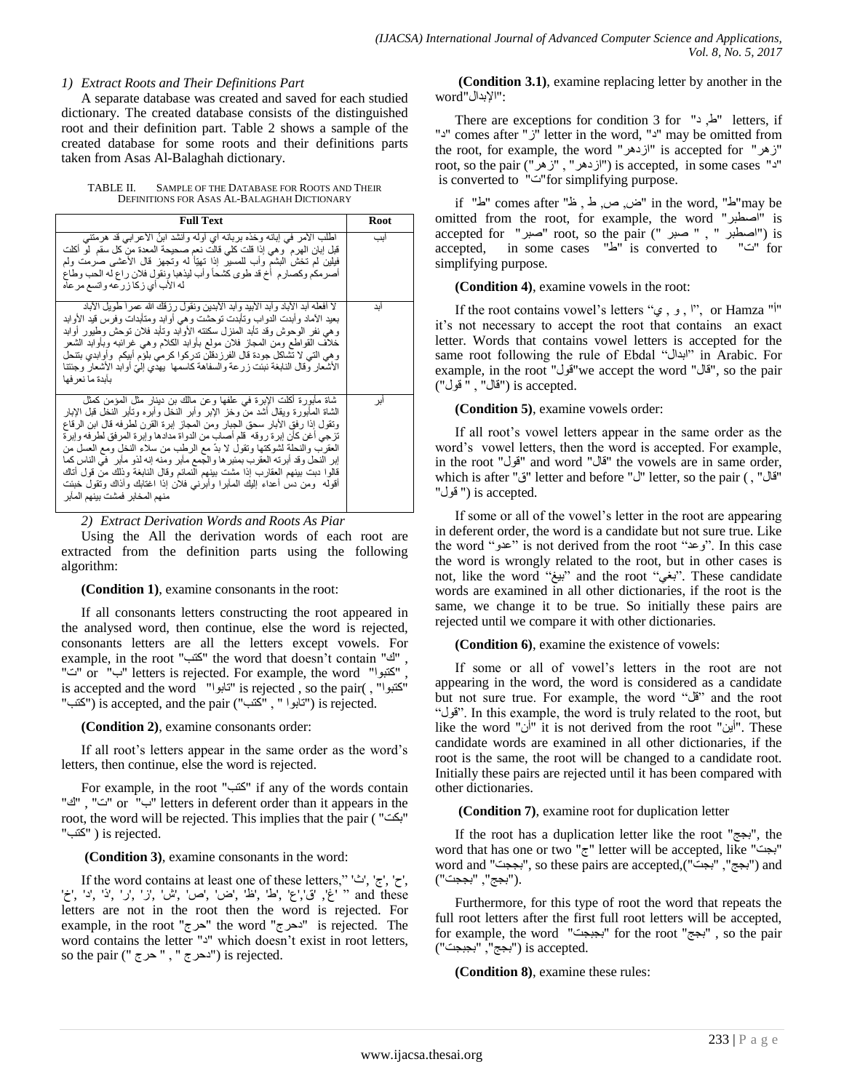#### *1) Extract Roots and Their Definitions Part*

A separate database was created and saved for each studied dictionary. The created database consists of the distinguished root and their definition part. Table 2 shows a sample of the created database for some roots and their definitions parts taken from Asas Al-Balaghah dictionary.

TABLE II. SAMPLE OF THE DATABASE FOR ROOTS AND THEIR DEFINITIONS FOR ASAS AL-BALAGHAH DICTIONARY

| <b>Full Text</b>                                                                                                                                                                                                                                                                                                                                                                                                                                                                                                                                                                                                                                                               | Root |
|--------------------------------------------------------------------------------------------------------------------------------------------------------------------------------------------------------------------------------------------------------------------------------------------------------------------------------------------------------------------------------------------------------------------------------------------------------------------------------------------------------------------------------------------------------------------------------------------------------------------------------------------------------------------------------|------|
| اطلب الأمر في إبانه وخذه بربانه أي أوله وأنشد ابنُ الأعرابي قد هرمتني<br>قبل إبان الهرم ۖ وهي إذا قلت كلَّى قالت نعم صـحيحة المعدة من كلِّ سقم ۖ لو أكلت<br>فيلين لم تخش البشم وأب للمسير إذا نهيًّا له وتجهز قال الأعشى صرمت ولم<br>أصرمكم وكصارم أخ قد طوى كشحأ وأب ليذهبا ونقول فلان راع له الحب وطاع<br>له الأب أي زكا زرعه واتسع مر عاه                                                                                                                                                                                                                                                                                                                                   | اىب  |
| لا أفعله أبد الآباد و أبد الأبيد و أبد الآبدين ونقول ر ز قك الله عمر اَ طو بِل الآباد<br>بعيد الأماد وأبدت الدواب وتأبدت توحثىت وهي أوابد ومتأبدات وفرس قيد الأوابد<br>و هي نفر الوحوش وقد تأبد المنزل سكنته الأوابد وتأبد فلان توحش وطيور أوابد<br>خلاف القواطع ومن المجاز فلان مولع بأوابد الكلام وهي غرائبه وبأوابد الشعر<br>وهي التي لا تشاكل جودة قال الفرزدقلن تدركوا كرمي بلؤم أبيكم ۖ وأوابدي بتنحل<br>الأشعار وقال النابغة نبئت زرعة والسفاهة كاسمها  يهدي إلىّ أوابد الأشعار وجئتنا<br>بأبدة ما نعر فها                                                                                                                                                              | اىد  |
| شاة مابورة اكلت الإبرة في علفها وعن مالك بن دينار مثل المؤمن كمثل<br>الشاة المابورة ويقال أشد من وخز الإبر وأبر النخل وأبره وتأبر النخل قبل الإبار<br>وتقول إذا رفق الأبار سحق الجبار ومن المجاز إبرة القرن لطرفه قال ابن الرقاع<br>تزجي أغن كأن إبرة روقه ًقم أصلب من الدواة مدادها وإبرة المرفق لطرفه وإبرة<br>العقرب والنحلة لشوكتها ونقول لا بدَّ مع الرطب من سلاء النخل ومع العسل من<br>إبر النحل وقد أبرته العقرب بمئبر ها والجمع مأبر ومنه إنه لذو مأبر   في الناس كما<br>قالوا دبت بينهم العقارب إذا مشت بينهم النمائم وقال النابغة وذلك من قول أتاك<br>أقوله ۖ ومن دس أعداء إليك المُمابرا وأبرنـي فلان إذا اغتابك وأذاك وتقول خبئت<br>منهم المخابر فمشت بينهم المآبر | اير  |

*2) Extract Derivation Words and Roots As Piar*

Using the All the derivation words of each root are extracted from the definition parts using the following algorithm:

#### **(Condition 1)**, examine consonants in the root:

If all consonants letters constructing the root appeared in the analysed word, then continue, else the word is rejected, consonants letters are all the letters except vowels. For example, in the root "كتب" the word that doesn't contain "كتب", "د "or "ب" letters is rejected. For example, the word "اب" or " is accepted and the word "'آبوا" is rejected , so the pair( , "اكتبوا" "("كتب") is accepted, and the pair ("تابوا", " المختب") is rejected.

#### **(Condition 2)**, examine consonants order:

If all root's letters appear in the same order as the word's letters, then continue, else the word is rejected.

For example, in the root "كتب" if any of the words contain "ن "ت", "ك" or "ن" letters in deferent order than it appears in the root, the word will be rejected. This implies that the pair ( "ثىذ" "كتب") is rejected.

# **(Condition 3)**, examine consonants in the word:

If the word contains at least one of these letters," 'ش', 'ج', 'ح', 'خ', 'غ', 'ق','غ', 'ظ' ,'ض' ,'ص' ,'ش' ,'ن', 'ذ' ,'ذ' ,'خ' ,'غ' ,'غ' ,'ض' ,'ض' ,'ض' ,'ض' letters are not in the root then the word is rejected. For example, in the root "حرج" the word "خزج" is rejected. The word contains the letter "צ" which doesn't exist in root letters, so the pair ("دهرج ", " حرج") is rejected.

**(Condition 3.1)**, examine replacing letter by another in the : "الإبدال"word"

There are exceptions for condition 3 for "ظ,  $\epsilon$ " letters, if "צ" comes after ""ש letter in the word, "צ" may be omitted from the root, for example, the word "ازدهر" is accepted for "نهر" root, so the pair ("ازدهر ", "زهر", "نغر") is accepted, in some cases " is converted to "د"for simplifying purpose.

if "غن, ص, ط , غ" in the word, "غ"may be omitted from the root, for example, the word "اصطجؽ "is accepted for "صجؽ "root, so the pair (" صجؽ " , " اصطجؽ ("is accepted, in some cases "k" is converted to "is" for simplifying purpose.

**(Condition 4)**, examine vowels in the root:

If the root contains vowel's letters ", و, ي $^{\prime\prime}$ , or Hamza "i it's not necessary to accept the root that contains an exact letter. Words that contains vowel letters is accepted for the same root following the rule of Ebdal "اثعاي "in Arabic. For example, in the root "قول" we accept the word "قول", so the pair .accepted ("قال", " قول") is accepted

### **(Condition 5)**, examine vowels order:

If all root"s vowel letters appear in the same order as the word"s vowel letters, then the word is accepted. For example, in the root "قول" and word "فال" the vowels are in same order, which is after "ق" letter and before "" "ف" letter, so the pair (, "ل . is accepted (" قول"

If some or all of the vowel"s letter in the root are appearing in deferent order, the word is a candidate but not sure true. Like the word "دعة" is not derived from the root "وعد". In this case the word is wrongly related to the root, but in other cases is not, like the word "بيغ" and the root "بيغ". These candidate words are examined in all other dictionaries, if the root is the same, we change it to be true. So initially these pairs are rejected until we compare it with other dictionaries.

**(Condition 6)**, examine the existence of vowels:

If some or all of vowel's letters in the root are not appearing in the word, the word is considered as a candidate but not sure true. For example, the word "قل" and the root "يٛل". In this example, the word is truly related to the root, but like the word "أن" it is not derived from the root "أن". These candidate words are examined in all other dictionaries, if the root is the same, the root will be changed to a candidate root. Initially these pairs are rejected until it has been compared with other dictionaries.

**(Condition 7)**, examine root for duplication letter

If the root has a duplication letter like the root "ثدح", the word that has one or two "ج" letter will be accepted, like "بجت" word and "بججة", so these pairs are accepted,("بجج", "بججت") and .("ثدح", "ثددذ")

Furthermore, for this type of root the word that repeats the full root letters after the first full root letters will be accepted, for example, the word "بجبجت" for the root "بجبجت", so the pair .is accepted ("بجج", "بجبجت")

**(Condition 8)**, examine these rules: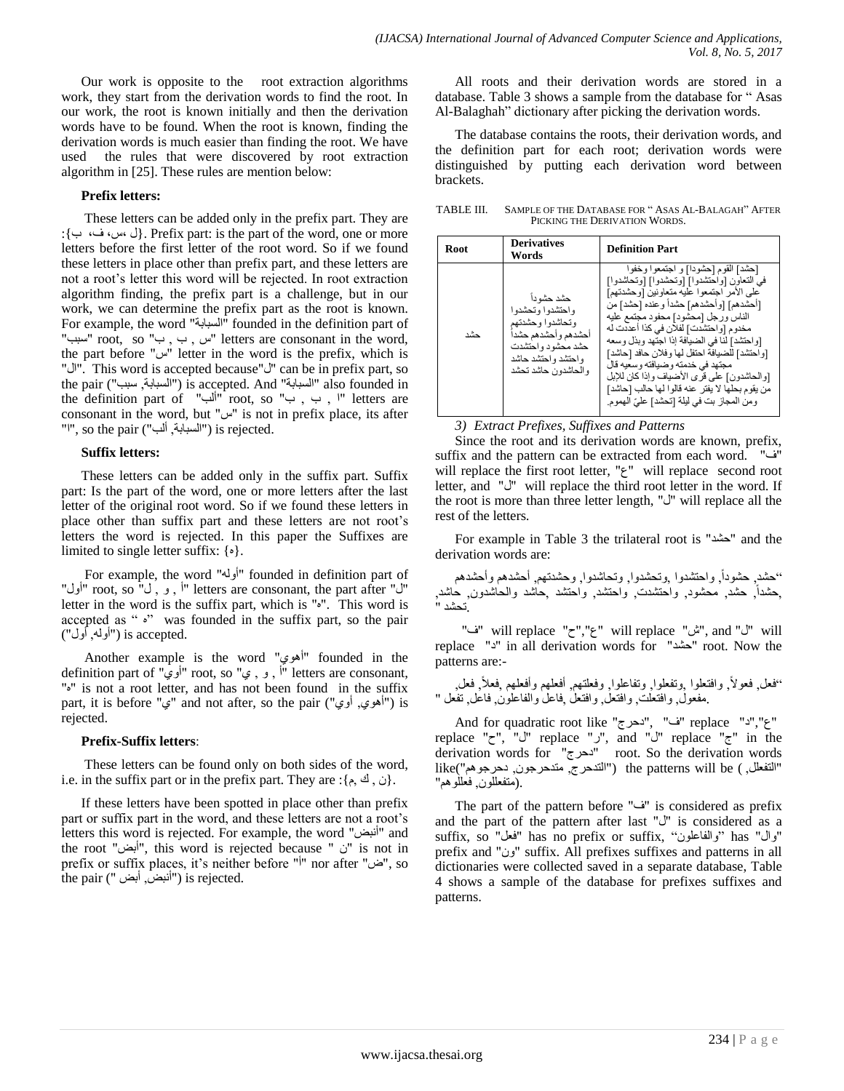Our work is opposite to the root extraction algorithms work, they start from the derivation words to find the root. In our work, the root is known initially and then the derivation words have to be found. When the root is known, finding the derivation words is much easier than finding the root. We have used the rules that were discovered by root extraction algorithm in [25]. These rules are mention below:

#### **Prefix letters:**

These letters can be added only in the prefix part. They are :{ة ،ؾ ،ـ، ي{. Prefix part: is the part of the word, one or more letters before the first letter of the root word. So if we found these letters in place other than prefix part, and these letters are not a root"s letter this word will be rejected. In root extraction algorithm finding, the prefix part is a challenge, but in our work, we can determine the prefix part as the root is known. For example, the word "كجبثخٌا "founded in the definition part of "سبب" root, so "سبب" letters are consonant in the word, the part before " $w$ " letter in the word is the prefix, which is "اي". This word is accepted because"ي "can be in prefix part, so the pair ("السبابة, سبب") is accepted. And "السبابة also founded in the definition part of "ألْب" root, so "ب , ب " letters are consonant in the word, but " $\omega$ " is not in prefix place, its after "'", so the pair ("السبابة, ألب") is rejected.

#### **Suffix letters:**

These letters can be added only in the suffix part. Suffix part: Is the part of the word, one or more letters after the last letter of the original root word. So if we found these letters in place other than suffix part and these letters are not root"s letters the word is rejected. In this paper the Suffixes are limited to single letter suffix: {ٖ}.

For example, the word "أوله" founded in definition part of "ن" root, so "أول" letters are consonant, the part after "أول" letter in the word is the suffix part, which is "ٖ". This word is accepted as " "" was founded in the suffix part, so the pair .is accepted ("أولمه, أول")

Another example is the word "أهوي" founded in the definition part of "أوي" root, so "أوي" root, so "أواوي" definition part of "ٖ" is not a root letter, and has not been found in the suffix part, it is before "ي" and not after, so the pair ("أهوي, أوي") is rejected.

#### **Prefix-Suffix letters**:

These letters can be found only on both sides of the word, i.e. in the suffix part or in the prefix part. They are : $\{\phi, \phi\}$ .

If these letters have been spotted in place other than prefix part or suffix part in the word, and these letters are not a root"s letters this word is rejected. For example, the word "أنبض" and the root "أثط", this word is rejected because " ْ" is not in prefix or suffix places, it's neither before "i" nor after "ض", so  $\overline{a}$ the pair ("أنبض, أبض) is rejected.

All roots and their derivation words are stored in a database. Table 3 shows a sample from the database for " Asas Al-Balaghah" dictionary after picking the derivation words.

The database contains the roots, their derivation words, and the definition part for each root; derivation words were distinguished by putting each derivation word between brackets.

TABLE III. SAMPLE OF THE DATABASE FOR " ASAS AL-BALAGAH" AFTER PICKING THE DERIVATION WORDS.

| Root | <b>Derivatives</b><br>Words                                                                                                                     | <b>Definition Part</b>                                                                                                                                                                                                                                                                                                                                                                                                                                                                                                                          |
|------|-------------------------------------------------------------------------------------------------------------------------------------------------|-------------------------------------------------------------------------------------------------------------------------------------------------------------------------------------------------------------------------------------------------------------------------------------------------------------------------------------------------------------------------------------------------------------------------------------------------------------------------------------------------------------------------------------------------|
| حشد  | حشد حشو دأ<br>واحتشدوا وتحشدوا<br>وتحاشدوا وحشدتهم<br>أحشدهم وأحشدهم حشدأ<br>حشد محشود واحتشدت<br>و احتشد و احتشد حاشد<br>و الحاشدو ن حاشد تحشد | [حشد] القوم [حشودا] و اجتمعوا وخفوا<br>في النعاون [واحتشدوا] [وتحشدوا] [وتحاشدوا]<br>على الأمر اجتمعوا عليه متعاونين [وحشدتهم]<br>[أحشدهم] [و أحشدهم] حشداً و عنده [حشد] من<br>الناس ورجل [محشود] محفود مجتمع عليه<br>مخدوم [و احتشدت] لفلان في كذا أعددت له<br>[و احتشد] لذا في الضيافة إذا اجتهد وبذل وسعه<br>[و احتشد] للضيافة احتفل لها وفلان حافد [حاشد]<br>مجتهد في خدمته وضيافته وسعيه قال<br>[والحاشدون] على قرى الأضياف وإذا كان للإبل<br>من يقوم بحلها لا يفتر عنه قالوا لها حالب [حاشد]<br>ومن المجاز بت في ليلة [تحشد] عليّ الهموم. |

*3) Extract Prefixes, Suffixes and Patterns*

Since the root and its derivation words are known, prefix, suffix and the pattern can be extracted from each word. "ؾ" will replace the first root letter, "ع" will replace second root letter, and " $\dot{U}$ " will replace the third root letter in the word. If the root is more than three letter length, "أن" will replace all the rest of the letters.

For example in Table 3 the trilateral root is "زهع "and the derivation words are:

"حشد, حشوداً, واحتشدوا ,وتحشدوا, وتحاشدوا, وحشدتهم, أحشدهم وأحشدهم ,حشداً, حشد, محشود, واحتشدت, واحتشد, واحتشد بحاشد والحاشدون, حاشد, .تحشد "

"ن "will replace "'ش" will replace "لا "will replace "ف" replace "د" in all derivation words for "دشمند" root. Now the patterns are:-

, ـع,ً , ٚاـزعٍٛا ٚ,رفعٍٛا, ٚرفبعٍٛا, ٚـعٍز,ُٙ أـعٍُٙ ٚأـعٍُٙ ,ـعال "ـع,ً ـعٛال ِ.فعٛي, ٚاـزعٍذ, ٚاـزع,ً ٚاـزعً ,ـبعً ٚاٌفبع,ٍْٛ ـبع,ً رفعً "

And for quadratic root like ""בעל", "נאכל", "נאכל", "ז", "ז replace "ف", "ك" replace "ل", and "ك" replace "ج" in the derivation words for "دهرج" root. So the derivation words like("لتفعلل, ) the patterns will be ("التدحرج, متدحرجون, دحرجوهم") بْزَفْعَلْلُون, فَعْلَلُوهُمْ".

The part of the pattern before "ت "is considered as prefix and the part of the pattern after last "" is considered as a suffix, so "فعل" has no prefix or suffix, "وال" has "اوال" prefix and "ون" suffix. All prefixes suffixes and patterns in all dictionaries were collected saved in a separate database, Table 4 shows a sample of the database for prefixes suffixes and patterns.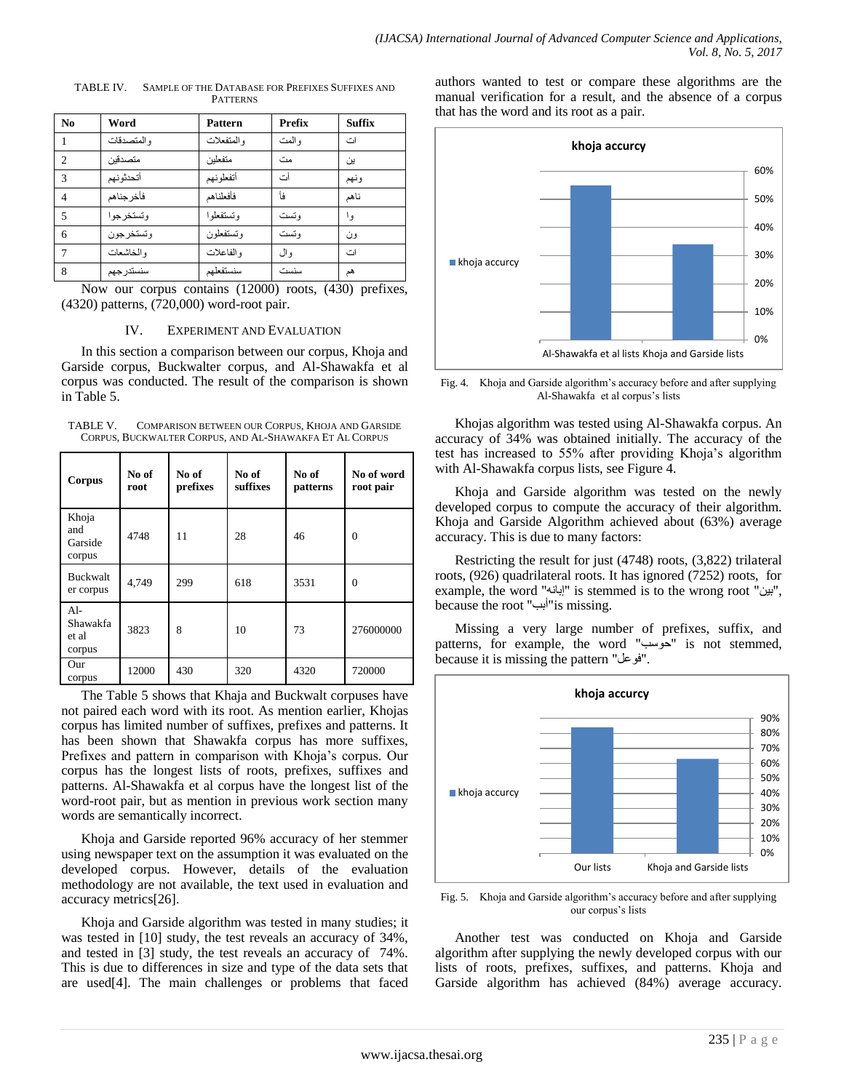| N <sub>0</sub>              | Word         | <b>Pattern</b> | <b>Prefix</b> | <b>Suffix</b> |
|-----------------------------|--------------|----------------|---------------|---------------|
|                             | و المتصدقات  | والمتفعلات     | و المت        | اث            |
| $\mathcal{D}_{\mathcal{L}}$ | متصدقين      | متفعلين        | مث            | ين            |
| 3                           | أتحدثونهم    | أتفعلونهم      | أث            | ونهم          |
| $\overline{4}$              | فأخر جذاهم   | فأفعلناهم      | فأ            | ناهم          |
| 5                           | و تستخر جو ا | و تستفعلو ا    | و تست         | و ا           |
| 6                           | و تستخر جو ن | و تستفعلون     | و تست         | ون            |
|                             | و الخاشعات   | و الفاعلات     | و ال          | اث            |
| 8                           | سنستدر جهم   | سنستفعلهم      | سنست          | هم            |

TABLE IV. SAMPLE OF THE DATABASE FOR PREFIXES SUFFIXES AND PATTERNS

Now our corpus contains (12000) roots, (430) prefixes, (4320) patterns, (720,000) word-root pair.

#### IV. EXPERIMENT AND EVALUATION

In this section a comparison between our corpus, Khoja and Garside corpus, Buckwalter corpus, and Al-Shawakfa et al corpus was conducted. The result of the comparison is shown in Table 5.

TABLE V. COMPARISON BETWEEN OUR CORPUS, KHOJA AND GARSIDE CORPUS, BUCKWALTER CORPUS, AND AL-SHAWAKFA ET AL CORPUS

| Corpus                               | No of<br>root | No of<br>prefixes | No of<br>suffixes | No of<br>patterns | No of word<br>root pair |
|--------------------------------------|---------------|-------------------|-------------------|-------------------|-------------------------|
| Khoja<br>and<br>Garside<br>corpus    | 4748          | 11                | 28                | 46                | $\theta$                |
| <b>Buckwalt</b><br>er corpus         | 4,749         | 299               | 618               | 3531              | $\Omega$                |
| $Al-$<br>Shawakfa<br>et al<br>corpus | 3823          | 8                 | 10                | 73                | 276000000               |
| Our<br>corpus                        | 12000         | 430               | 320               | 4320              | 720000                  |

The Table 5 shows that Khaja and Buckwalt corpuses have not paired each word with its root. As mention earlier, Khojas corpus has limited number of suffixes, prefixes and patterns. It has been shown that Shawakfa corpus has more suffixes, Prefixes and pattern in comparison with Khoja"s corpus. Our corpus has the longest lists of roots, prefixes, suffixes and patterns. Al-Shawakfa et al corpus have the longest list of the word-root pair, but as mention in previous work section many words are semantically incorrect.

Khoja and Garside reported 96% accuracy of her stemmer using newspaper text on the assumption it was evaluated on the developed corpus. However, details of the evaluation methodology are not available, the text used in evaluation and accuracy metrics[26].

Khoja and Garside algorithm was tested in many studies; it was tested in [10] study, the test reveals an accuracy of 34%, and tested in [3] study, the test reveals an accuracy of 74%. This is due to differences in size and type of the data sets that are used[4]. The main challenges or problems that faced authors wanted to test or compare these algorithms are the manual verification for a result, and the absence of a corpus that has the word and its root as a pair.



Fig. 4. Khoja and Garside algorithm"s accuracy before and after supplying Al-Shawakfa et al corpus"s lists

Khojas algorithm was tested using Al-Shawakfa corpus. An accuracy of 34% was obtained initially. The accuracy of the test has increased to 55% after providing Khoja"s algorithm with Al-Shawakfa corpus lists, see Figure 4.

Khoja and Garside algorithm was tested on the newly developed corpus to compute the accuracy of their algorithm. Khoja and Garside Algorithm achieved about (63%) average accuracy. This is due to many factors:

Restricting the result for just (4748) roots, (3,822) trilateral roots, (926) quadrilateral roots. It has ignored (7252) roots, for example, the word "إبانه" is stemmed is to the wrong root "بين", because the root "أبب"is missing.

Missing a very large number of prefixes, suffix, and patterns, for example, the word "حوسب" is not stemmed, because it is missing the pattern "فوعل".



Fig. 5. Khoja and Garside algorithm"s accuracy before and after supplying our corpus's lists

Another test was conducted on Khoja and Garside algorithm after supplying the newly developed corpus with our lists of roots, prefixes, suffixes, and patterns. Khoja and Garside algorithm has achieved (84%) average accuracy.